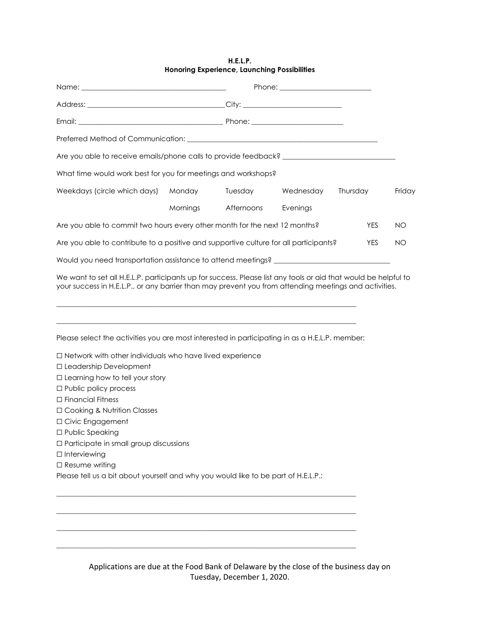## **H.E.L.P. Honoring Experience, Launching Possibilities**

| Preferred Method of Communication: Network and the state of the state of the state of the state of the state of the state of the state of the state of the state of the state of the state of the state of the state of the st |          |            |           |            |           |
|--------------------------------------------------------------------------------------------------------------------------------------------------------------------------------------------------------------------------------|----------|------------|-----------|------------|-----------|
|                                                                                                                                                                                                                                |          |            |           |            |           |
| What time would work best for you for meetings and workshops?                                                                                                                                                                  |          |            |           |            |           |
| Weekdays (circle which days)                                                                                                                                                                                                   | Monday   | Tuesday    | Wednesday | Thursday   | Friday    |
|                                                                                                                                                                                                                                | Mornings | Afternoons | Evenings  |            |           |
| Are you able to commit two hours every other month for the next 12 months?                                                                                                                                                     |          |            |           | <b>YES</b> | <b>NO</b> |
| Are you able to contribute to a positive and supportive culture for all participants?<br><b>YES</b>                                                                                                                            |          |            |           |            | NO.       |
| Would you need transportation assistance to attend meetings? ___________________                                                                                                                                               |          |            |           |            |           |
| your success in H.E.L.P., or any barrier than may prevent you from attending meetings and activities.                                                                                                                          |          |            |           |            |           |
| Please select the activities you are most interested in participating in as a H.E.L.P. member:                                                                                                                                 |          |            |           |            |           |
| □ Network with other individuals who have lived experience<br>□ Leadership Development                                                                                                                                         |          |            |           |            |           |
| $\Box$ Learning how to tell your story                                                                                                                                                                                         |          |            |           |            |           |
| $\Box$ Public policy process                                                                                                                                                                                                   |          |            |           |            |           |
| $\Box$ Financial Fitness                                                                                                                                                                                                       |          |            |           |            |           |
| □ Cooking & Nutrition Classes                                                                                                                                                                                                  |          |            |           |            |           |
| □ Civic Engagement                                                                                                                                                                                                             |          |            |           |            |           |
| □ Public Speaking                                                                                                                                                                                                              |          |            |           |            |           |
| □ Participate in small group discussions                                                                                                                                                                                       |          |            |           |            |           |
| $\Box$ Interviewing                                                                                                                                                                                                            |          |            |           |            |           |
| $\Box$ Resume writing                                                                                                                                                                                                          |          |            |           |            |           |
| Please tell us a bit about yourself and why you would like to be part of H.E.L.P.:                                                                                                                                             |          |            |           |            |           |
|                                                                                                                                                                                                                                |          |            |           |            |           |

Applications are due at the Food Bank of Delaware by the close of the business day on Tuesday, December 1, 2020.

 $\_$  , and the set of the set of the set of the set of the set of the set of the set of the set of the set of the set of the set of the set of the set of the set of the set of the set of the set of the set of the set of th

\_\_\_\_\_\_\_\_\_\_\_\_\_\_\_\_\_\_\_\_\_\_\_\_\_\_\_\_\_\_\_\_\_\_\_\_\_\_\_\_\_\_\_\_\_\_\_\_\_\_\_\_\_\_\_\_\_\_\_\_\_\_\_\_\_\_\_\_\_\_\_\_\_\_\_\_\_\_\_\_\_\_\_\_\_

\_\_\_\_\_\_\_\_\_\_\_\_\_\_\_\_\_\_\_\_\_\_\_\_\_\_\_\_\_\_\_\_\_\_\_\_\_\_\_\_\_\_\_\_\_\_\_\_\_\_\_\_\_\_\_\_\_\_\_\_\_\_\_\_\_\_\_\_\_\_\_\_\_\_\_\_\_\_\_\_\_\_\_\_\_